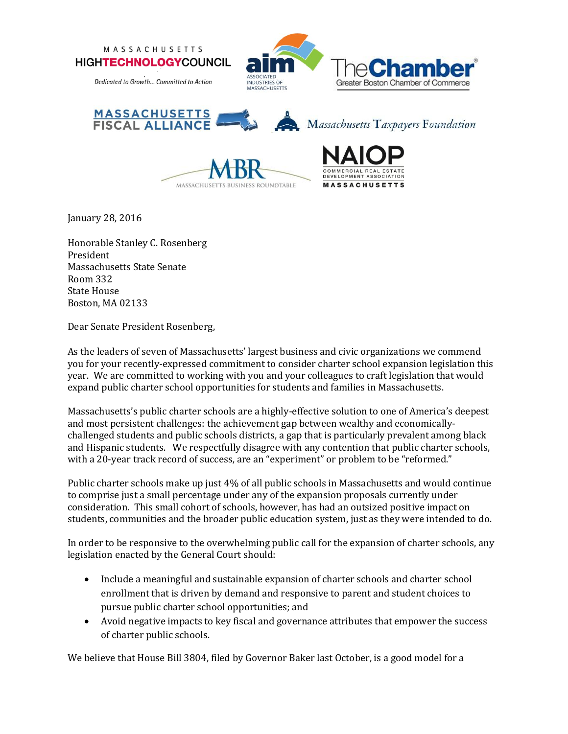





January 28, 2016

Honorable Stanley C. Rosenberg President Massachusetts State Senate Room 332 State House Boston, MA 02133

Dear Senate President Rosenberg,

As the leaders of seven of Massachusetts' largest business and civic organizations we commend you for your recently-expressed commitment to consider charter school expansion legislation this year. We are committed to working with you and your colleagues to craft legislation that would expand public charter school opportunities for students and families in Massachusetts.

Massachusetts's public charter schools are a highly-effective solution to one of America's deepest and most persistent challenges: the achievement gap between wealthy and economicallychallenged students and public schools districts, a gap that is particularly prevalent among black and Hispanic students. We respectfully disagree with any contention that public charter schools, with a 20-year track record of success, are an "experiment" or problem to be "reformed."

Public charter schools make up just 4% of all public schools in Massachusetts and would continue to comprise just a small percentage under any of the expansion proposals currently under consideration. This small cohort of schools, however, has had an outsized positive impact on students, communities and the broader public education system, just as they were intended to do.

In order to be responsive to the overwhelming public call for the expansion of charter schools, any legislation enacted by the General Court should:

- Include a meaningful and sustainable expansion of charter schools and charter school enrollment that is driven by demand and responsive to parent and student choices to pursue public charter school opportunities; and
- Avoid negative impacts to key fiscal and governance attributes that empower the success of charter public schools.

We believe that House Bill 3804, filed by Governor Baker last October, is a good model for a